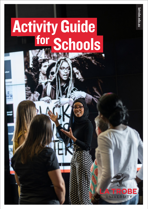# Schools Activity Guide for



latrobe.edu.au [latrobe.edu.au](http://latrobe.edu.au)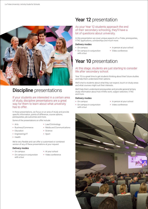

### **Discipline** presentations

If your students are interested in a certain area of study, discipline presentations are a great way for them to learn about what university has to offer.

In these presentations, we focus on an area of study and provide specific information, points of difference, course options, prerequisites, job outcomes and more.

Some of the presentations on offer include:

- $\bullet$  Arts
- Law/Criminology • Media and Communications
- Business/Commerce
- Education
- Engineering/IT
- $\cdot$  Science • Sport
- Health
- 

We're very flexible and can offer a customised or combined version of any of these presentations at your request.

#### Delivery modes

- On campus
- On campus in conjunction with a tour
- At your school
- Video conference

### Year 12 presentation

### As your Year 12 students approach the end of their secondary schooling, they'll have a lot of questions about university.

In this presentation we cover unique aspects of La Trobe, prerequisites, VTAC applications, scholarships and much more.

#### Delivery modes

- On campus
- On campus in conjunction
- In person at your school
- with a tour
- 
- 
- Video conference

## Year 10 presentation

### At this stage, students are just starting to consider life after secondary school.

Year 10 is a great time to get students thinking about their future studies and help them understand their options.

We'll chat to students about what they can expect, touch on study areas and what courses might suit their interests.

We'll help them understand prerequisites and provide general tertiary study information about how ATARs work, subject selection, VTAC and more.

#### Delivery modes

- On campus
- In person at your school
- On campus in conjunction with a tour
- 
- Video conference

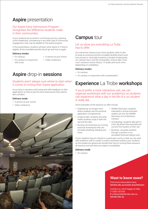### Aspire presentation

### Our Aspire Early Admissions Program recognises the difference students make in their communities.

If your students are involved in community service, coaching, school leadership, volunteering or any other type of community engagement, they may be eligible for the Aspire program.

In this presentation, students will learn what Aspire is, if they're eligible, all the incredible benefits they'll get and how to apply.

#### Delivery modes

- On campus
- In person at your school
- On campus in conjunction with a tour
- Video conference

### Aspire drop-in sessions

### Students aren't always sure where to start when it comes to writing their Aspire application.

At our drop-in sessions we'll review and offer feedback on their applications so they've got the extra reassurance they need to feel confident.

#### Delivery mode

- In person at your school
- Video conference



### **Campus tour**

### Let us show you everything La Trobe has to offer.

Our interactive campus tours show students what it's like to study at university and the incredible facilities they'll soon have access to. Normally hosted by a Student Ambassador, our campus tours visit the nursing labs, science labs, moot court, business school, library, TV studio and much more (depending on availability).

### Delivery modes

- On campus
- On campus in conjunction with a presentation

### Experience La Trobe workshops

If you'd prefer a more interactive visit, we can organise workshops with our academics so students can experience what a day in the life of a uni student is really like.

Some examples of the sessions on offer include:

- Engineering: an escape room where students see the practical application of engineering.
- Anatomy labs: students see what health students study in both the wet and dry labs.
- Nursing: we showcase our nursing practical mannequins that can simulate breathing, bleeding and more.
- Wildlife Sanctuary: students interested in animal and plant studies can tour the Wildlife Sanctuary at our Bundoora Campus.
- Archaeology: students take part in a box dig where they excavate and uncover the mystery of their site.
- Business: we guide students through a session in our simulated financial trading room.

If your students have an interest in a particular course or field, we can work with academic staff to create a custom workshop suited to your students. As the academics generously donate their time to running these sessions, all sessions and activities are subject to availability.

#### Delivery mode

• On campus

### **Want to know more?**

Find more information here: latrobe.edu.au/career-practitioners

Contact us, we're happy to help: T 1300 135 045 E [undergrad@latrobe.edu.au](mailto:undergrad%40latrobe.edu.au?subject=Enquiry%20%E2%80%93%20LTU%20Schools%20Activity%20Guide) latrobe.edu.au